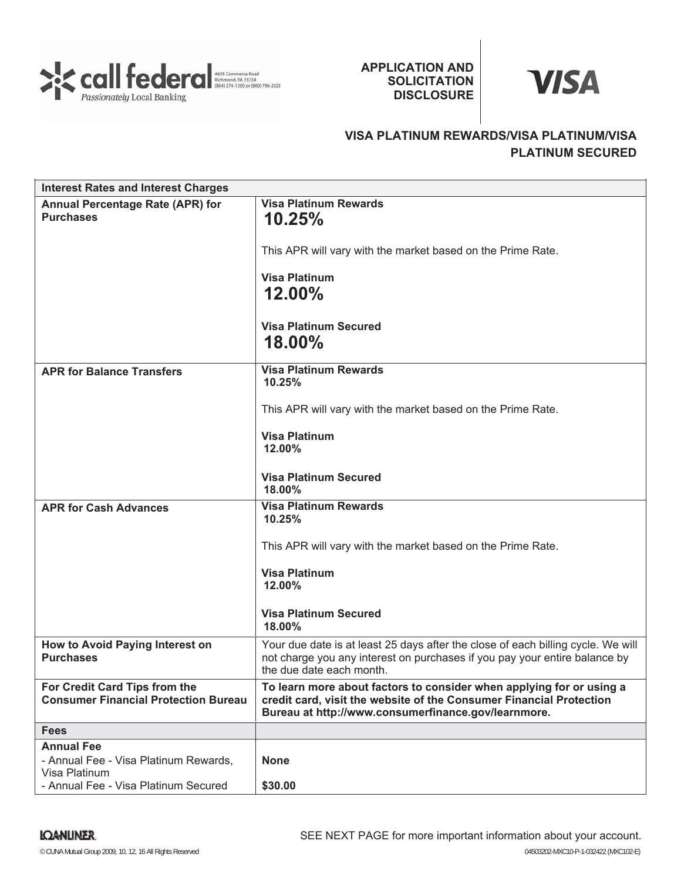

## **APPLICATION AND SOLICITATION DISCLOSURE**



# **VISA PLATINUM REWARDS/VISA PLATINUM/VISA PLATINUM SECURED**

| <b>Interest Rates and Interest Charges</b>  |                                                                                                                            |
|---------------------------------------------|----------------------------------------------------------------------------------------------------------------------------|
| Annual Percentage Rate (APR) for            | <b>Visa Platinum Rewards</b>                                                                                               |
| <b>Purchases</b>                            | 10.25%                                                                                                                     |
|                                             |                                                                                                                            |
|                                             | This APR will vary with the market based on the Prime Rate.                                                                |
|                                             | <b>Visa Platinum</b>                                                                                                       |
|                                             | 12.00%                                                                                                                     |
|                                             |                                                                                                                            |
|                                             | <b>Visa Platinum Secured</b>                                                                                               |
|                                             | 18.00%                                                                                                                     |
|                                             |                                                                                                                            |
| <b>APR for Balance Transfers</b>            | <b>Visa Platinum Rewards</b><br>10.25%                                                                                     |
|                                             |                                                                                                                            |
|                                             | This APR will vary with the market based on the Prime Rate.                                                                |
|                                             | <b>Visa Platinum</b>                                                                                                       |
|                                             | $12.00\%$                                                                                                                  |
|                                             |                                                                                                                            |
|                                             | <b>Visa Platinum Secured</b>                                                                                               |
|                                             | 18.00%                                                                                                                     |
| <b>APR for Cash Advances</b>                | <b>Visa Platinum Rewards</b><br>10.25%                                                                                     |
|                                             |                                                                                                                            |
|                                             | This APR will vary with the market based on the Prime Rate.                                                                |
|                                             | <b>Visa Platinum</b>                                                                                                       |
|                                             | 12.00%                                                                                                                     |
|                                             |                                                                                                                            |
|                                             | <b>Visa Platinum Secured</b><br>18.00%                                                                                     |
| How to Avoid Paying Interest on             | Your due date is at least 25 days after the close of each billing cycle. We will                                           |
| <b>Purchases</b>                            | not charge you any interest on purchases if you pay your entire balance by                                                 |
|                                             | the due date each month.                                                                                                   |
| For Credit Card Tips from the               | To learn more about factors to consider when applying for or using a                                                       |
| <b>Consumer Financial Protection Bureau</b> | credit card, visit the website of the Consumer Financial Protection<br>Bureau at http://www.consumerfinance.gov/learnmore. |
| <b>Fees</b>                                 |                                                                                                                            |
| <b>Annual Fee</b>                           |                                                                                                                            |
| - Annual Fee - Visa Platinum Rewards,       | <b>None</b>                                                                                                                |
| Visa Platinum                               |                                                                                                                            |
| - Annual Fee - Visa Platinum Secured        | \$30.00                                                                                                                    |